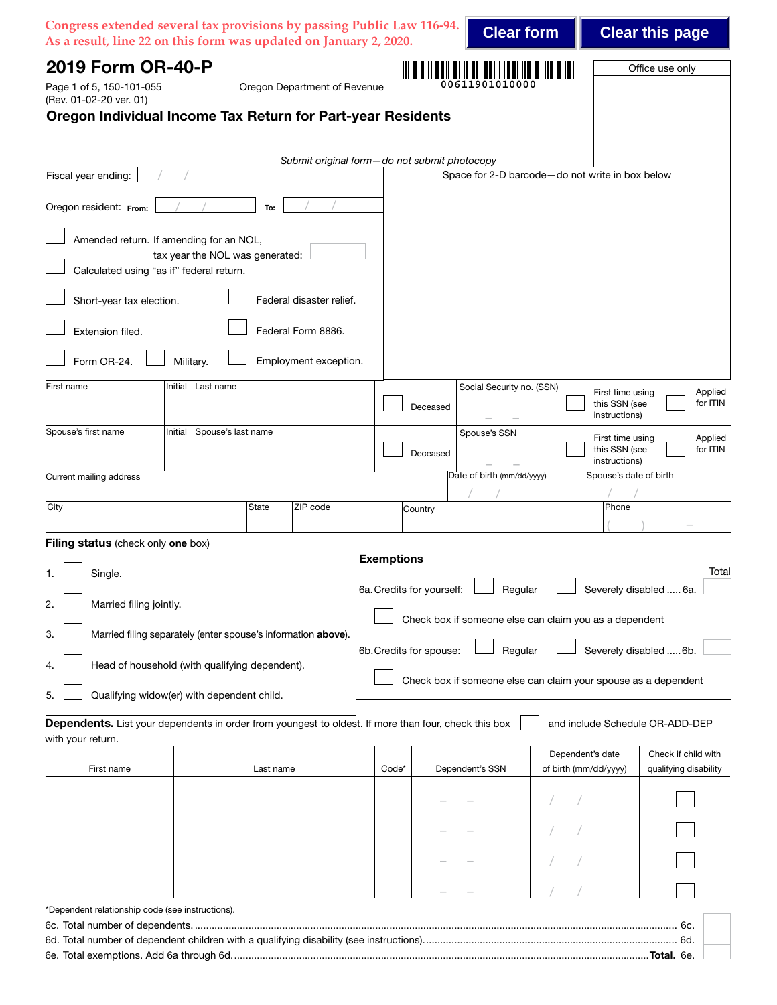|                                                                                                                 | Congress extended several tax provisions by passing Public Law 116-94.<br>As a result, line 22 on this form was updated on January 2, 2020. |                   |                           | <b>Clear form</b>                                              |                                           |                                                    | <b>Clear this page</b>                       |
|-----------------------------------------------------------------------------------------------------------------|---------------------------------------------------------------------------------------------------------------------------------------------|-------------------|---------------------------|----------------------------------------------------------------|-------------------------------------------|----------------------------------------------------|----------------------------------------------|
| 2019 Form OR-40-P<br>Page 1 of 5, 150-101-055<br>(Rev. 01-02-20 ver. 01)                                        | Oregon Department of Revenue<br>Oregon Individual Income Tax Return for Part-year Residents                                                 |                   |                           | 00611901010000                                                 |                                           |                                                    | Office use only                              |
|                                                                                                                 | Submit original form-do not submit photocopy                                                                                                |                   |                           |                                                                |                                           |                                                    |                                              |
| Fiscal year ending:                                                                                             |                                                                                                                                             |                   |                           | Space for 2-D barcode-do not write in box below                |                                           |                                                    |                                              |
| Oregon resident: From:                                                                                          | To:                                                                                                                                         |                   |                           |                                                                |                                           |                                                    |                                              |
| Amended return. If amending for an NOL,<br>Calculated using "as if" federal return.<br>Short-year tax election. | tax year the NOL was generated:<br>Federal disaster relief.                                                                                 |                   |                           |                                                                |                                           |                                                    |                                              |
| Extension filed.                                                                                                | Federal Form 8886.                                                                                                                          |                   |                           |                                                                |                                           |                                                    |                                              |
| Form OR-24.<br>Military.                                                                                        | Employment exception.                                                                                                                       |                   |                           |                                                                |                                           |                                                    |                                              |
| First name<br>Initial                                                                                           | Last name                                                                                                                                   |                   | Deceased                  | Social Security no. (SSN)                                      |                                           | First time using<br>this SSN (see<br>instructions) | Applied<br>for ITIN                          |
| Spouse's first name<br>Initial                                                                                  | Spouse's last name                                                                                                                          |                   | Deceased                  | Spouse's SSN                                                   |                                           | First time using<br>this SSN (see<br>instructions) | Applied<br>for ITIN                          |
| Current mailing address                                                                                         |                                                                                                                                             |                   |                           | Date of birth (mm/dd/yyyy)                                     |                                           | Spouse's date of birth                             |                                              |
| City                                                                                                            | ZIP code<br>State                                                                                                                           |                   | Country                   |                                                                |                                           | Phone                                              |                                              |
| Filing status (check only one box)                                                                              |                                                                                                                                             |                   |                           |                                                                |                                           |                                                    |                                              |
| Single.<br>1.                                                                                                   |                                                                                                                                             | <b>Exemptions</b> |                           |                                                                |                                           |                                                    | Total                                        |
| Married filing jointly.                                                                                         |                                                                                                                                             |                   | 6a. Credits for yourself: | Regular                                                        |                                           | Severely disabled  6a.                             |                                              |
|                                                                                                                 |                                                                                                                                             |                   |                           | Check box if someone else can claim you as a dependent         |                                           |                                                    |                                              |
| З.                                                                                                              | Married filing separately (enter spouse's information above).                                                                               |                   | 6b. Credits for spouse:   | Regular                                                        |                                           | Severely disabled  6b.                             |                                              |
|                                                                                                                 | Head of household (with qualifying dependent).                                                                                              |                   |                           | Check box if someone else can claim your spouse as a dependent |                                           |                                                    |                                              |
| Qualifying widow(er) with dependent child.<br>5.                                                                |                                                                                                                                             |                   |                           |                                                                |                                           |                                                    |                                              |
| with your return.                                                                                               | Dependents. List your dependents in order from youngest to oldest. If more than four, check this box                                        |                   |                           |                                                                |                                           |                                                    | and include Schedule OR-ADD-DEP              |
| First name                                                                                                      | Last name                                                                                                                                   | Code*             |                           | Dependent's SSN                                                | Dependent's date<br>of birth (mm/dd/yyyy) |                                                    | Check if child with<br>qualifying disability |
|                                                                                                                 |                                                                                                                                             |                   |                           |                                                                |                                           |                                                    |                                              |
|                                                                                                                 |                                                                                                                                             |                   |                           |                                                                |                                           |                                                    |                                              |
|                                                                                                                 |                                                                                                                                             |                   |                           |                                                                |                                           |                                                    |                                              |
|                                                                                                                 |                                                                                                                                             |                   |                           |                                                                |                                           |                                                    |                                              |
|                                                                                                                 |                                                                                                                                             |                   |                           |                                                                |                                           |                                                    |                                              |
| *Dependent relationship code (see instructions).                                                                |                                                                                                                                             |                   |                           |                                                                |                                           |                                                    |                                              |
|                                                                                                                 |                                                                                                                                             |                   |                           |                                                                |                                           |                                                    |                                              |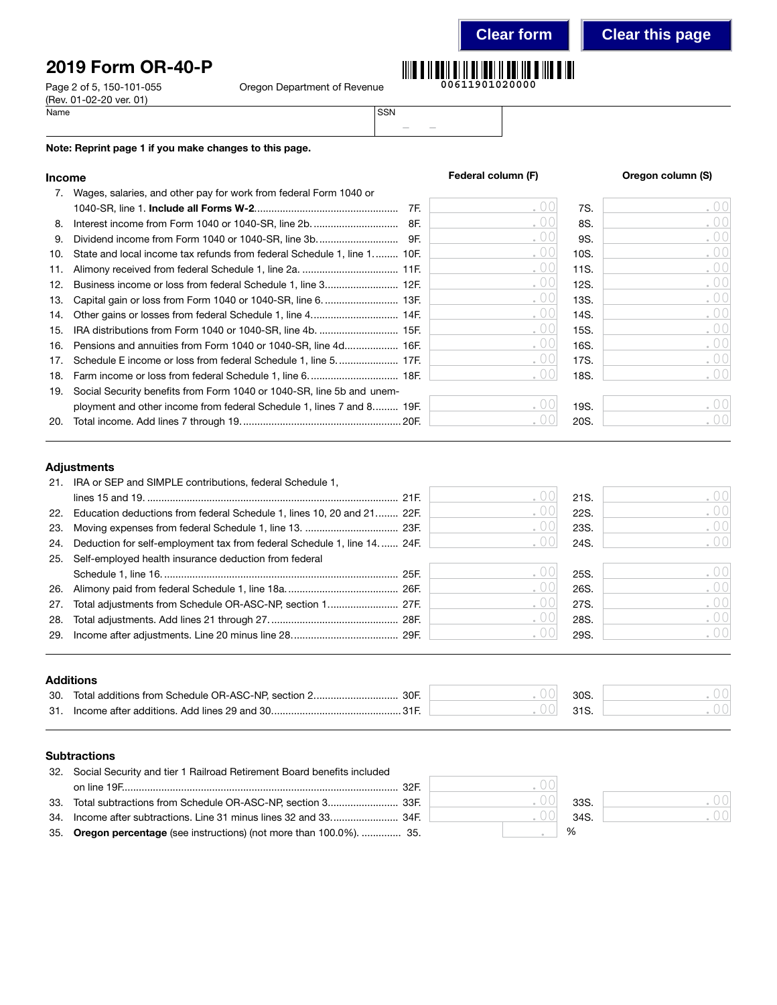# 2019 Form OR-40-P

Page 2 of 5, 150-101-055 O (Rev. 01-02-20 ver. 01)<br>Name Name SSN

|  | )regon Department of Revenue |  |
|--|------------------------------|--|
|--|------------------------------|--|



**Clear form Clear this page**

– –

### Note: Reprint page 1 if you make changes to this page.

| 7.  | Wages, salaries, and other pay for work from federal Form 1040 or         |     |      |      |      |
|-----|---------------------------------------------------------------------------|-----|------|------|------|
|     |                                                                           | 7F. | . 00 | 7S.  | .00  |
| 8.  | Interest income from Form 1040 or 1040-SR, line 2b.                       | 8F. | .00  | 8S.  | .00  |
| 9.  |                                                                           |     | .00  | 9S.  | .00  |
| 10. | State and local income tax refunds from federal Schedule 1, line 1 10F.   |     | .00  | 10S. | .00  |
| 11. |                                                                           |     | .00  | 11S. | .00  |
| 12. | Business income or loss from federal Schedule 1, line 3 12F.              |     | . 00 | 12S. | .00  |
| 13. |                                                                           |     | .00  | 13S. | .00  |
| 14. | Other gains or losses from federal Schedule 1, line 4 14F.                |     | .00  | 14S. | .00  |
|     |                                                                           |     | .00  | 15S. | .00  |
|     | 16. Pensions and annuities from Form 1040 or 1040-SR, line 4d 16F.        |     | .00  | 16S. | .00  |
| 17. | Schedule E income or loss from federal Schedule 1, line 5 17F.            |     | . 00 | 17S. | .00  |
|     |                                                                           |     |      | 18S. | .00  |
|     | 19. Social Security benefits from Form 1040 or 1040-SR, line 5b and unem- |     |      |      |      |
|     | ployment and other income from federal Schedule 1, lines 7 and 8 19F.     |     |      | 19S. | .001 |
|     |                                                                           |     |      | 20S. | .00  |

## Adjustments

|     | 21. IRA or SEP and SIMPLE contributions, federal Schedule 1,                |                                                 |      |               |
|-----|-----------------------------------------------------------------------------|-------------------------------------------------|------|---------------|
|     |                                                                             | $\left( \begin{array}{c} 0 \end{array} \right)$ | 21S. | 00            |
|     | 22. Education deductions from federal Schedule 1, lines 10, 20 and 21 22F.  | .00                                             | 22S. | .00           |
|     |                                                                             | . UU                                            | 23S. | .00           |
|     | 24. Deduction for self-employment tax from federal Schedule 1, line 14 24F. |                                                 | 24S. | .001          |
|     | 25. Self-employed health insurance deduction from federal                   |                                                 |      |               |
|     |                                                                             | ( ) ( )                                         | 25S. | . 00          |
|     |                                                                             | . 00                                            | 26S. | .00           |
| 27. |                                                                             | . 00                                            | 27S. | .00           |
| 28. |                                                                             | $\cup$ $\cup$                                   | 28S. | .00           |
|     |                                                                             |                                                 | 29S. | $.00^{\circ}$ |
|     |                                                                             |                                                 |      |               |

### Additions

| 30. | Total additions from Schedule OR-ASC-NP, section 2<br>30F | 30S |  |
|-----|-----------------------------------------------------------|-----|--|
| 31. | Income after additions. Add lines 29 and 30.              |     |  |

### **Subtractions**

| 32. Social Security and tier 1 Railroad Retirement Board benefits included |         |      |
|----------------------------------------------------------------------------|---------|------|
|                                                                            | ( ) ( ) |      |
|                                                                            |         | 33S. |
|                                                                            |         | 34S  |
| 35. Oregon percentage (see instructions) (not more than 100.0%).  35.      |         | $\%$ |

|  | 33S. |  |
|--|------|--|
|  | 34S. |  |
|  | %    |  |

. 00 . 00



| Federal column (F) |      | Oregon column (S)            |
|--------------------|------|------------------------------|
|                    | 7S.  | ۰                            |
|                    | 8S.  | $\qquad \qquad \blacksquare$ |
|                    | 9S.  |                              |
|                    | 10S. |                              |
| ó                  | 11S. | $\alpha$                     |
|                    | 12S. | ۰                            |
|                    |      |                              |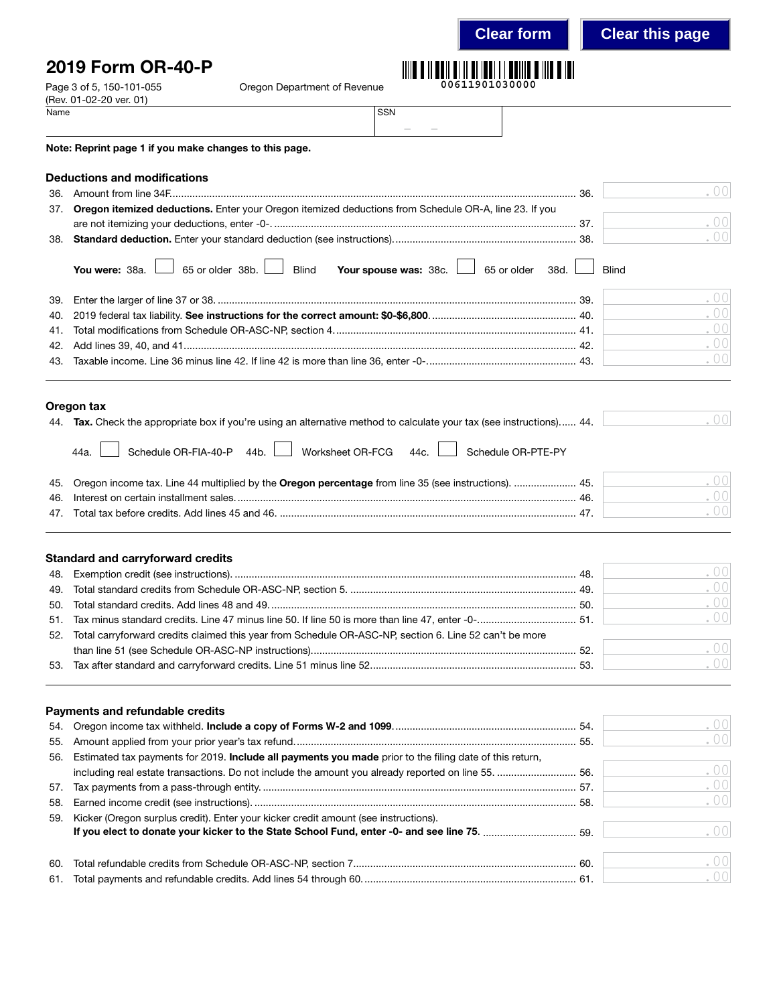## 2019 Form OR-40-P

Page 3 of 5, 150-101-055 Conserved Department of Revenue



|      | (Rev. 01-02-20 ver. 01)                                                                                               |                       |                                     |        |
|------|-----------------------------------------------------------------------------------------------------------------------|-----------------------|-------------------------------------|--------|
| Name |                                                                                                                       | SSN                   |                                     |        |
|      |                                                                                                                       |                       |                                     |        |
|      | Note: Reprint page 1 if you make changes to this page.                                                                |                       |                                     |        |
|      | <b>Deductions and modifications</b>                                                                                   |                       |                                     |        |
| 36.  |                                                                                                                       |                       |                                     | .001   |
| 37.  | Oregon itemized deductions. Enter your Oregon itemized deductions from Schedule OR-A, line 23. If you                 |                       |                                     |        |
|      |                                                                                                                       |                       |                                     | . $00$ |
|      |                                                                                                                       |                       |                                     | .001   |
|      | 65 or older $38b.$<br>You were: 38a.<br><b>Blind</b>                                                                  | Your spouse was: 38c. | 65 or older<br>38d.<br><b>Blind</b> |        |
| 39.  |                                                                                                                       |                       |                                     | .00    |
| 40.  |                                                                                                                       |                       |                                     | .00    |
| 41.  |                                                                                                                       |                       |                                     | .00    |
| 42.  |                                                                                                                       |                       |                                     | .00    |
| 43.  |                                                                                                                       |                       |                                     | .00    |
|      |                                                                                                                       |                       |                                     |        |
|      |                                                                                                                       |                       |                                     |        |
|      | Oregon tax                                                                                                            |                       |                                     |        |
|      | 44. Tax. Check the appropriate box if you're using an alternative method to calculate your tax (see instructions) 44. |                       |                                     | .00    |
|      | Schedule OR-FIA-40-P 44b.<br>Worksheet OR-FCG<br>44a.                                                                 | 44c.                  | Schedule OR-PTE-PY                  |        |

| 45. Oregon income tax. Line 44 multiplied by the Oregon percentage from line 35 (see instructions).  45. |  |
|----------------------------------------------------------------------------------------------------------|--|
| 46                                                                                                       |  |
|                                                                                                          |  |

### Standard and carryforward credits

|                                                                                                            | $\sim$ 00 |
|------------------------------------------------------------------------------------------------------------|-----------|
|                                                                                                            | $\sim 00$ |
|                                                                                                            | .00       |
|                                                                                                            | .00       |
| 52. Total carryforward credits claimed this year from Schedule OR-ASC-NP, section 6. Line 52 can't be more |           |
|                                                                                                            | .001      |
|                                                                                                            | .001      |
|                                                                                                            |           |

### Payments and refundable credits

| 55. |                                                                                                             | . 001            |
|-----|-------------------------------------------------------------------------------------------------------------|------------------|
|     | 56. Estimated tax payments for 2019. Include all payments you made prior to the filing date of this return, |                  |
|     | including real estate transactions. Do not include the amount you already reported on line 55.  56.         | .00              |
|     |                                                                                                             | .00              |
| 58. |                                                                                                             | . 001            |
|     | 59. Kicker (Oregon surplus credit). Enter your kicker credit amount (see instructions).                     | . 001            |
| 60. |                                                                                                             | .00 <sup>1</sup> |
| 61. |                                                                                                             |                  |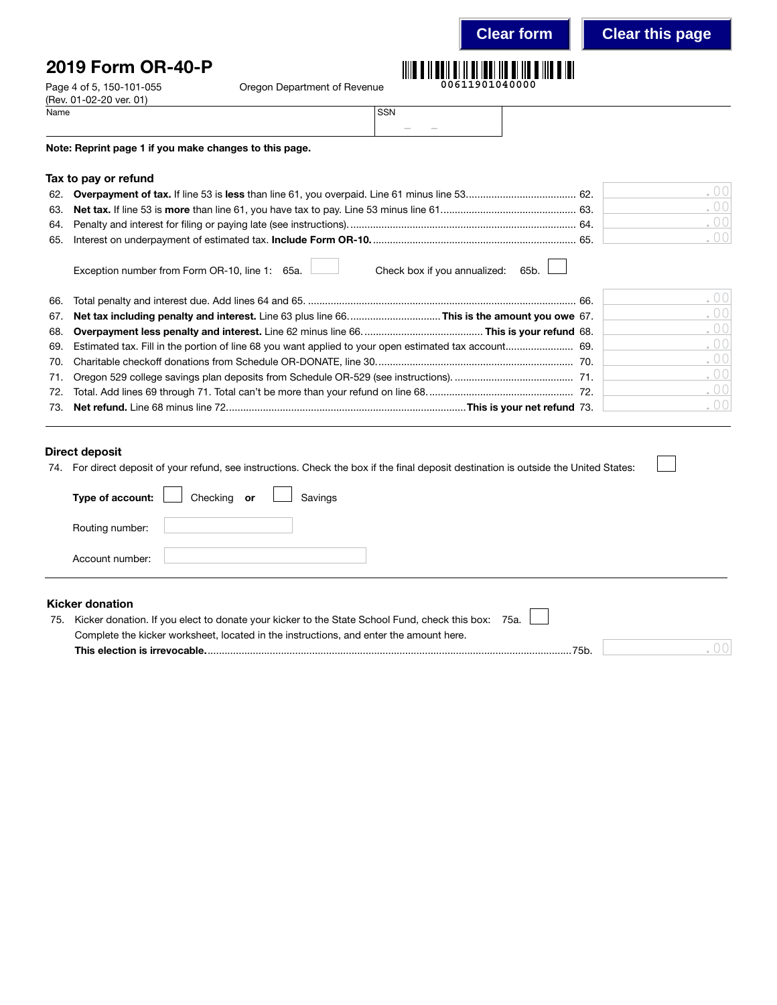**Clear form Clear this page**

# 2019 Form OR-40-P

Page 4 of 5, 150-101-055 Cregon Department of Revenue

|  | 00611901040000 |  |  |
|--|----------------|--|--|

| Name | <b>SSN</b> |        |        |  |
|------|------------|--------|--------|--|
|      |            | $\sim$ | $\sim$ |  |

Note: Reprint page 1 if you make changes to this page.

### Tax to pay or refund

(Rev. 01-02-20 ver. 01)<br>Name

|     | $\bigcap \bigcap$ |
|-----|-------------------|
|     | $\cup$ $\cup$     |
| -64 | $\bigcap \bigcap$ |
| -65 | 001               |

Exception number from Form OR-10, line 1: 65a. Check box if you annualized: 65b.

|  | .001 |
|--|------|
|  | .00  |
|  | .001 |
|  | .00  |
|  | .00  |
|  | .00  |
|  | .00  |
|  | .00  |

### Direct deposit

74. For direct deposit of your refund, see instructions. Check the box if the final deposit destination is outside the United States:

| Type of account: $\Box$ | Checking or $\Box$ | Savings |  |  |
|-------------------------|--------------------|---------|--|--|
| Routing number:         |                    |         |  |  |
| Account number:         |                    |         |  |  |
|                         |                    |         |  |  |

## Kicker donation

| 75. Kicker donation. If you elect to donate your kicker to the State School Fund, check this box: 75a. |  |
|--------------------------------------------------------------------------------------------------------|--|
| Complete the kicker worksheet, located in the instructions, and enter the amount here.                 |  |
| 75h<br>This election is irrevocable                                                                    |  |